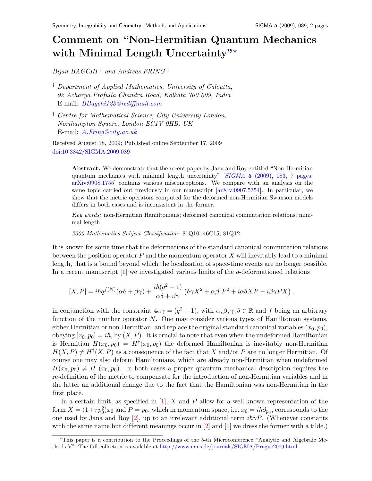## Comment on "Non-Hermitian Quantum Mechanics with Minimal Length Uncertainty"\*

Bijan BAGCHI  $\dagger$  and Andreas FRING  $\dagger$ 

- † Department of Applied Mathematics, University of Calcutta, 92 Acharya Prafulla Chandra Road, Kolkata 700 009, India E-mail: [BBagchi123@rediffmail.com](mailto:BBagchi123@rediffmail.com)
- ‡ Centre for Mathematical Science, City University London, Northampton Square, London EC1V 0HB, UK E-mail: [A.Fring@city.ac.uk](mailto:A.Fring@city.ac.uk)

Received August 18, 2009; Published online September 17, 2009 [doi:10.3842/SIGMA.2009.089](http://dx.doi.org/10.3842/SIGMA.2009.089)

> Abstract. We demonstrate that the recent paper by Jana and Roy entitled "Non-Hermitian" quantum mechanics with minimal length uncertainty"  $[SIGMA 5 (2009), 083, 7$  pages, [arXiv:0908.1755\]](http://arxiv.org/abs/0908.1755) contains various misconceptions. We compare with an analysis on the same topic carried out previously in our manuscript [\[arXiv:0907.5354\]](http://arxiv.org/abs/0907.5354). In particular, we show that the metric operators computed for the deformed non-Hermitian Swanson models differs in both cases and is inconsistent in the former.

> Key words: non-Hermitian Hamiltonians; deformed canonical commutation relations; minimal length

2000 Mathematics Subject Classification: 81Q10; 46C15; 81Q12

It is known for some time that the deformations of the standard canonical commutation relations between the position operator  $P$  and the momentum operator  $X$  will inevitably lead to a minimal length, that is a bound beyond which the localization of space-time events are no longer possible. In a recent manuscript  $[1]$  we investigated various limits of the q-deformationed relations

$$
[X,P]=i\hbar q^{f(N)}(\alpha\delta+\beta\gamma)+\frac{i\hbar(q^2-1)}{\alpha\delta+\beta\gamma}\left(\delta\gamma X^2+\alpha\beta\;P^2+i\alpha\delta X P-i\beta\gamma PX\right),
$$

in conjunction with the constraint  $4\alpha\gamma = (q^2 + 1)$ , with  $\alpha, \beta, \gamma, \delta \in \mathbb{R}$  and f being an arbitrary function of the number operator N. One may consider various types of Hamiltonian systems, either Hermitian or non-Hermitian, and replace the original standard canonical variables  $(x_0, p_0)$ , obeying  $[x_0, p_0] = i\hbar$ , by  $(X, P)$ . It is crucial to note that even when the undeformed Hamiltonian is Hermitian  $H(x_0, p_0) = H^{\dagger}(x_0, p_0)$  the deformed Hamiltonian is inevitably non-Hermitian  $H(X, P) \neq H^{\dagger}(X, P)$  as a consequence of the fact that X and/or P are no longer Hermitian. Of course one may also deform Hamiltonians, which are already non-Hermitian when undeformed  $H(x_0, p_0) \neq H^{\dagger}(x_0, p_0)$ . In both cases a proper quantum mechanical description requires the re-definition of the metric to compensate for the introduction of non-Hermitian variables and in the latter an additional change due to the fact that the Hamiltonian was non-Hermitian in the first place.

In a certain limit, as specified in  $[1]$ , X and P allow for a well-known representation of the form  $X = (1 + \tau p_0^2)x_0$  and  $P = p_0$ , which in momentum space, i.e.  $x_0 = i\hbar \partial_{p_0}$ , corresponds to the one used by Jana and Roy [\[2\]](#page-1-1), up to an irrelevant additional term  $i\hbar\tilde{\gamma}P$ . (Whenever constants with the same name but different meanings occur in  $[2]$  and  $[1]$  we dress the former with a tilde.)

<span id="page-0-0"></span><sup>?</sup>This paper is a contribution to the Proceedings of the 5-th Microconference "Analytic and Algebraic Methods V". The full collection is available at <http://www.emis.de/journals/SIGMA/Prague2009.html>